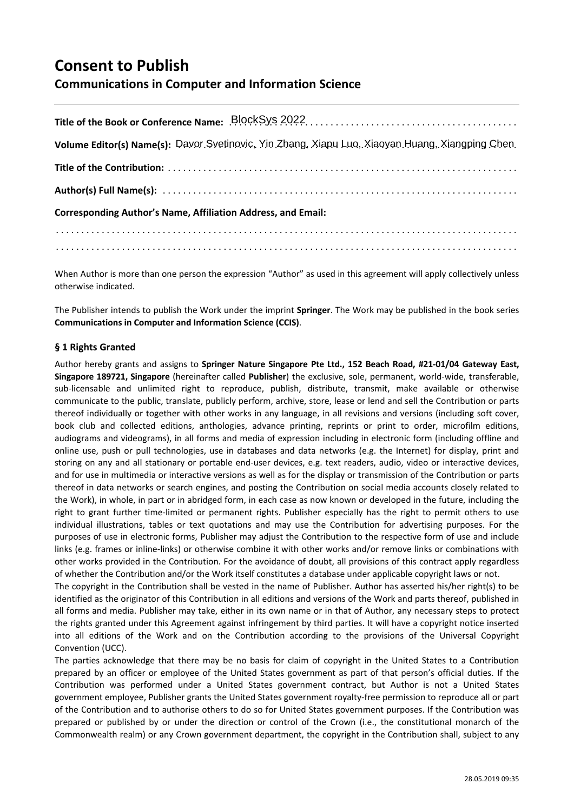# **Consent to Publish**

# **Communications in Computer and Information Science**

| Volume Editor(s) Name(s): Davor Svetinovic, Yin Zhang, Xiapu Luo, Xiaoyan Huang, Xiangping Chen |
|-------------------------------------------------------------------------------------------------|
|                                                                                                 |
|                                                                                                 |
| <b>Corresponding Author's Name, Affiliation Address, and Email:</b>                             |
|                                                                                                 |
|                                                                                                 |

When Author is more than one person the expression "Author" as used in this agreement will apply collectively unless otherwise indicated.

The Publisher intends to publish the Work under the imprint **Springer**. The Work may be published in the book series **Communications in Computer and Information Science (CCIS)**.

# **§ 1 Rights Granted**

Author hereby grants and assigns to **Springer Nature Singapore Pte Ltd., 152 Beach Road, #21-01/04 Gateway East, Singapore 189721, Singapore** (hereinafter called **Publisher**) the exclusive, sole, permanent, world-wide, transferable, sub-licensable and unlimited right to reproduce, publish, distribute, transmit, make available or otherwise communicate to the public, translate, publicly perform, archive, store, lease or lend and sell the Contribution or parts thereof individually or together with other works in any language, in all revisions and versions (including soft cover, book club and collected editions, anthologies, advance printing, reprints or print to order, microfilm editions, audiograms and videograms), in all forms and media of expression including in electronic form (including offline and online use, push or pull technologies, use in databases and data networks (e.g. the Internet) for display, print and storing on any and all stationary or portable end-user devices, e.g. text readers, audio, video or interactive devices, and for use in multimedia or interactive versions as well as for the display or transmission of the Contribution or parts thereof in data networks or search engines, and posting the Contribution on social media accounts closely related to the Work), in whole, in part or in abridged form, in each case as now known or developed in the future, including the right to grant further time-limited or permanent rights. Publisher especially has the right to permit others to use individual illustrations, tables or text quotations and may use the Contribution for advertising purposes. For the purposes of use in electronic forms, Publisher may adjust the Contribution to the respective form of use and include links (e.g. frames or inline-links) or otherwise combine it with other works and/or remove links or combinations with other works provided in the Contribution. For the avoidance of doubt, all provisions of this contract apply regardless of whether the Contribution and/or the Work itself constitutes a database under applicable copyright laws or not.

The copyright in the Contribution shall be vested in the name of Publisher. Author has asserted his/her right(s) to be identified as the originator of this Contribution in all editions and versions of the Work and parts thereof, published in all forms and media. Publisher may take, either in its own name or in that of Author, any necessary steps to protect the rights granted under this Agreement against infringement by third parties. It will have a copyright notice inserted into all editions of the Work and on the Contribution according to the provisions of the Universal Copyright Convention (UCC).

The parties acknowledge that there may be no basis for claim of copyright in the United States to a Contribution prepared by an officer or employee of the United States government as part of that person's official duties. If the Contribution was performed under a United States government contract, but Author is not a United States government employee, Publisher grants the United States government royalty-free permission to reproduce all or part of the Contribution and to authorise others to do so for United States government purposes. If the Contribution was prepared or published by or under the direction or control of the Crown (i.e., the constitutional monarch of the Commonwealth realm) or any Crown government department, the copyright in the Contribution shall, subject to any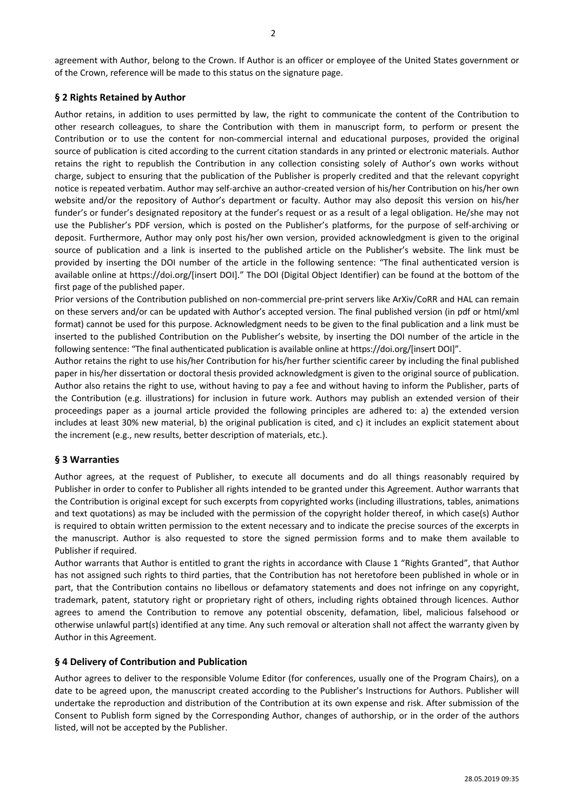agreement with Author, belong to the Crown. If Author is an officer or employee of the United States government or of the Crown, reference will be made to this status on the signature page.

### **§ 2 Rights Retained by Author**

Author retains, in addition to uses permitted by law, the right to communicate the content of the Contribution to other research colleagues, to share the Contribution with them in manuscript form, to perform or present the Contribution or to use the content for non-commercial internal and educational purposes, provided the original source of publication is cited according to the current citation standards in any printed or electronic materials. Author retains the right to republish the Contribution in any collection consisting solely of Author's own works without charge, subject to ensuring that the publication of the Publisher is properly credited and that the relevant copyright notice is repeated verbatim. Author may self-archive an author-created version of his/her Contribution on his/her own website and/or the repository of Author's department or faculty. Author may also deposit this version on his/her funder's or funder's designated repository at the funder's request or as a result of a legal obligation. He/she may not use the Publisher's PDF version, which is posted on the Publisher's platforms, for the purpose of self-archiving or deposit. Furthermore, Author may only post his/her own version, provided acknowledgment is given to the original source of publication and a link is inserted to the published article on the Publisher's website. The link must be provided by inserting the DOI number of the article in the following sentence: "The final authenticated version is available online at https://doi.org/[insert DOI]." The DOI (Digital Object Identifier) can be found at the bottom of the first page of the published paper.

Prior versions of the Contribution published on non-commercial pre-print servers like ArXiv/CoRR and HAL can remain on these servers and/or can be updated with Author's accepted version. The final published version (in pdf or html/xml format) cannot be used for this purpose. Acknowledgment needs to be given to the final publication and a link must be inserted to the published Contribution on the Publisher's website, by inserting the DOI number of the article in the following sentence: "The final authenticated publication is available online at https://doi.org/[insert DOI]".

Author retains the right to use his/her Contribution for his/her further scientific career by including the final published paper in his/her dissertation or doctoral thesis provided acknowledgment is given to the original source of publication. Author also retains the right to use, without having to pay a fee and without having to inform the Publisher, parts of the Contribution (e.g. illustrations) for inclusion in future work. Authors may publish an extended version of their proceedings paper as a journal article provided the following principles are adhered to: a) the extended version includes at least 30% new material, b) the original publication is cited, and c) it includes an explicit statement about the increment (e.g., new results, better description of materials, etc.).

# **§ 3 Warranties**

Author agrees, at the request of Publisher, to execute all documents and do all things reasonably required by Publisher in order to confer to Publisher all rights intended to be granted under this Agreement. Author warrants that the Contribution is original except for such excerpts from copyrighted works (including illustrations, tables, animations and text quotations) as may be included with the permission of the copyright holder thereof, in which case(s) Author is required to obtain written permission to the extent necessary and to indicate the precise sources of the excerpts in the manuscript. Author is also requested to store the signed permission forms and to make them available to Publisher if required.

Author warrants that Author is entitled to grant the rights in accordance with Clause 1 "Rights Granted", that Author has not assigned such rights to third parties, that the Contribution has not heretofore been published in whole or in part, that the Contribution contains no libellous or defamatory statements and does not infringe on any copyright, trademark, patent, statutory right or proprietary right of others, including rights obtained through licences. Author agrees to amend the Contribution to remove any potential obscenity, defamation, libel, malicious falsehood or otherwise unlawful part(s) identified at any time. Any such removal or alteration shall not affect the warranty given by Author in this Agreement.

#### **§ 4 Delivery of Contribution and Publication**

Author agrees to deliver to the responsible Volume Editor (for conferences, usually one of the Program Chairs), on a date to be agreed upon, the manuscript created according to the Publisher's Instructions for Authors. Publisher will undertake the reproduction and distribution of the Contribution at its own expense and risk. After submission of the Consent to Publish form signed by the Corresponding Author, changes of authorship, or in the order of the authors listed, will not be accepted by the Publisher.